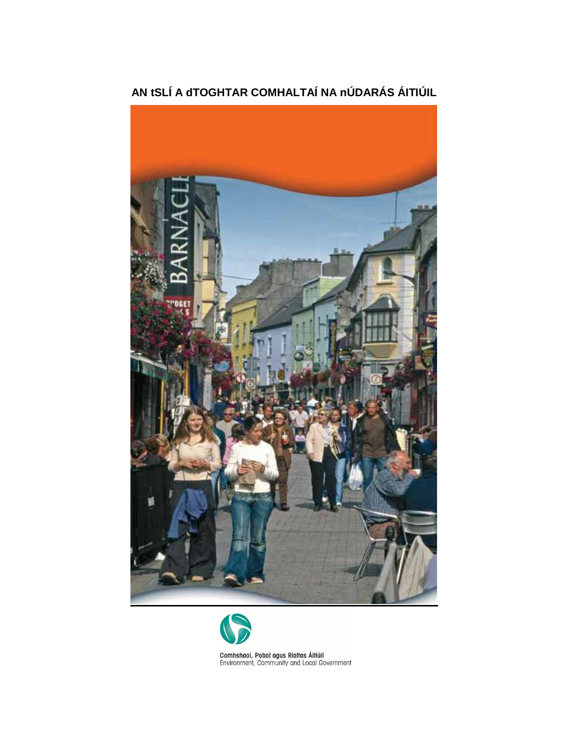

**AN tSLÍ A dTOGHTAR COMHALTAÍ NA nÚDARÁS ÁITIÚIL**



Comhshaol, Pobal agus Rialtas Áitiúil<br>Environment, Community and Local Government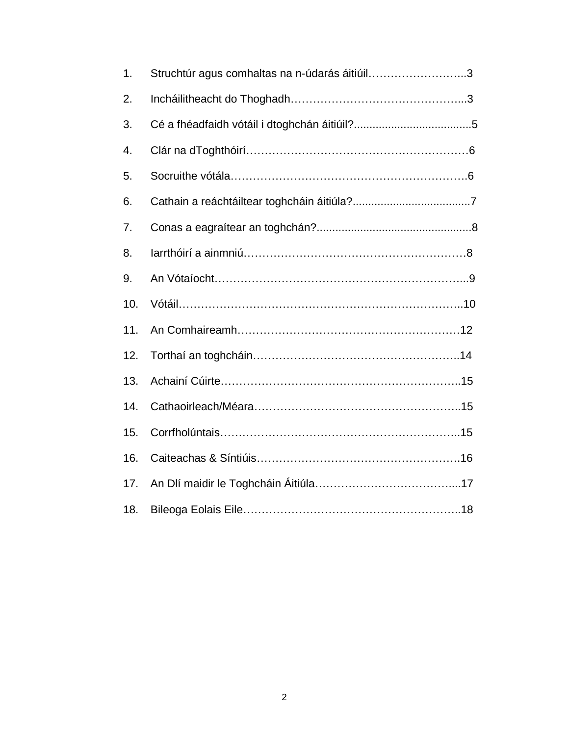| 1.  | Struchtúr agus comhaltas na n-údarás áitiúil3 |  |
|-----|-----------------------------------------------|--|
| 2.  |                                               |  |
| 3.  |                                               |  |
| 4.  |                                               |  |
| 5.  |                                               |  |
| 6.  |                                               |  |
| 7.  |                                               |  |
| 8.  |                                               |  |
| 9.  |                                               |  |
| 10. |                                               |  |
| 11. |                                               |  |
| 12. |                                               |  |
| 13. |                                               |  |
| 14. |                                               |  |
| 15. |                                               |  |
| 16. |                                               |  |
| 17. |                                               |  |
| 18. |                                               |  |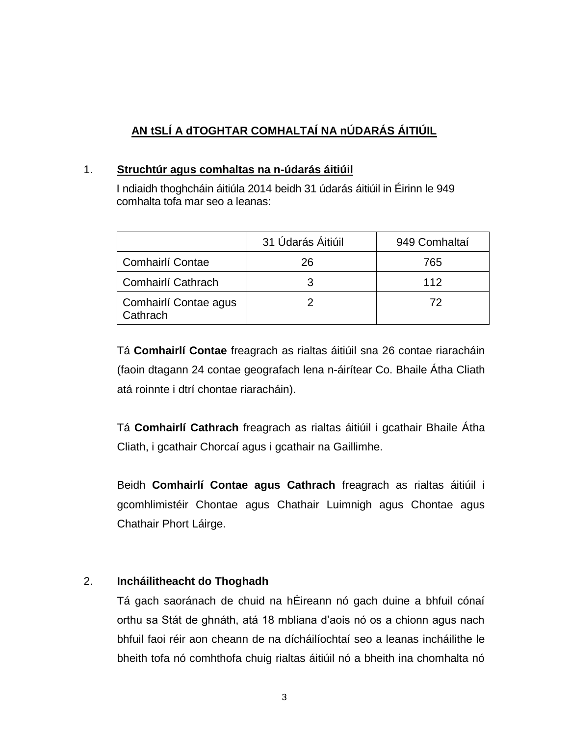# **AN tSLÍ A dTOGHTAR COMHALTAÍ NA nÚDARÁS ÁITIÚIL**

### 1. **Struchtúr agus comhaltas na n-údarás áitiúil**

I ndiaidh thoghcháin áitiúla 2014 beidh 31 údarás áitiúil in Éirinn le 949 comhalta tofa mar seo a leanas:

|                                   | 31 Údarás Áitiúil | 949 Comhaltaí |
|-----------------------------------|-------------------|---------------|
| Comhairlí Contae                  | 26                | 765           |
| Comhairlí Cathrach                |                   | 112           |
| Comhairlí Contae agus<br>Cathrach |                   | 72            |

Tá **Comhairlí Contae** freagrach as rialtas áitiúil sna 26 contae riaracháin (faoin dtagann 24 contae geografach lena n-áirítear Co. Bhaile Átha Cliath atá roinnte i dtrí chontae riaracháin).

Tá **Comhairlí Cathrach** freagrach as rialtas áitiúil i gcathair Bhaile Átha Cliath, i gcathair Chorcaí agus i gcathair na Gaillimhe.

Beidh **Comhairlí Contae agus Cathrach** freagrach as rialtas áitiúil i gcomhlimistéir Chontae agus Chathair Luimnigh agus Chontae agus Chathair Phort Láirge.

# 2. **Incháilitheacht do Thoghadh**

Tá gach saoránach de chuid na hÉireann nó gach duine a bhfuil cónaí orthu sa Stát de ghnáth, atá 18 mbliana d'aois nó os a chionn agus nach bhfuil faoi réir aon cheann de na dícháilíochtaí seo a leanas incháilithe le bheith tofa nó comhthofa chuig rialtas áitiúil nó a bheith ina chomhalta nó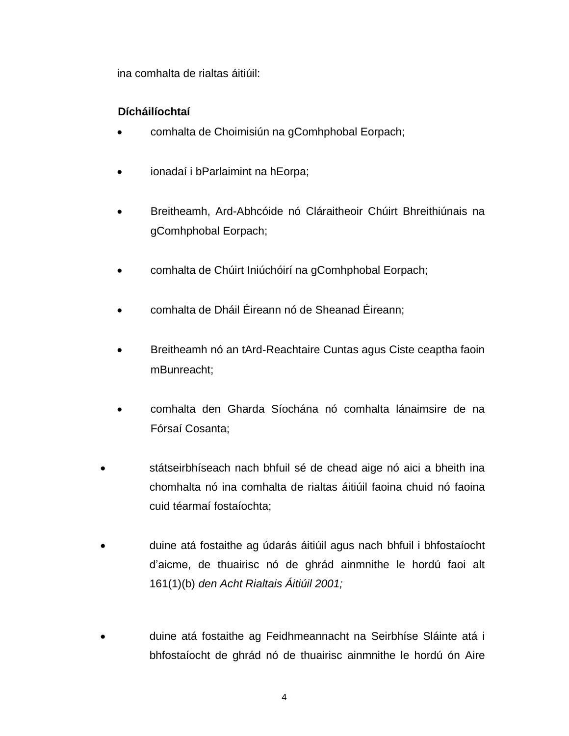ina comhalta de rialtas áitiúil:

# **Dícháilíochtaí**

- comhalta de Choimisiún na gComhphobal Eorpach;
- ionadaí i bParlaimint na hEorpa;
- Breitheamh, Ard-Abhcóide nó Cláraitheoir Chúirt Bhreithiúnais na gComhphobal Eorpach;
- comhalta de Chúirt Iniúchóirí na gComhphobal Eorpach;
- comhalta de Dháil Éireann nó de Sheanad Éireann;
- Breitheamh nó an tArd-Reachtaire Cuntas agus Ciste ceaptha faoin mBunreacht;
- comhalta den Gharda Síochána nó comhalta lánaimsire de na Fórsaí Cosanta;
- státseirbhíseach nach bhfuil sé de chead aige nó aici a bheith ina chomhalta nó ina comhalta de rialtas áitiúil faoina chuid nó faoina cuid téarmaí fostaíochta;
- duine atá fostaithe ag údarás áitiúil agus nach bhfuil i bhfostaíocht d'aicme, de thuairisc nó de ghrád ainmnithe le hordú faoi alt 161(1)(b) *den Acht Rialtais Áitiúil 2001;*
- duine atá fostaithe ag Feidhmeannacht na Seirbhíse Sláinte atá i bhfostaíocht de ghrád nó de thuairisc ainmnithe le hordú ón Aire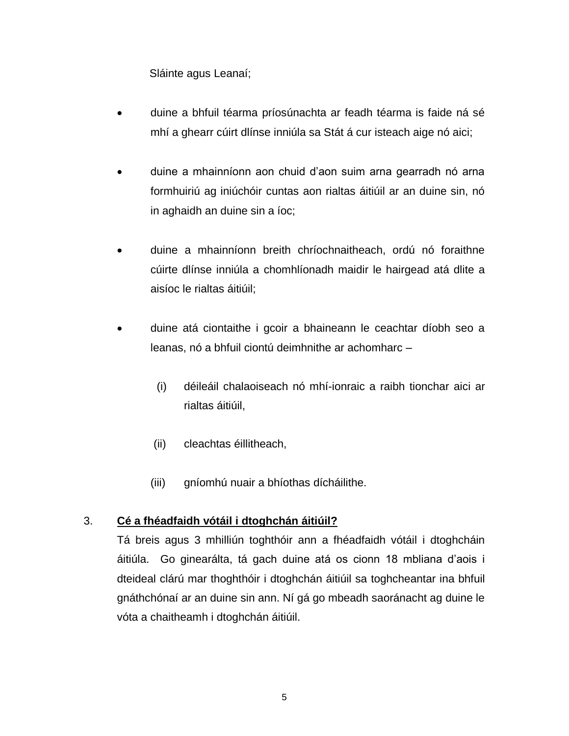Sláinte agus Leanaí;

- duine a bhfuil téarma príosúnachta ar feadh téarma is faide ná sé mhí a ghearr cúirt dlínse inniúla sa Stát á cur isteach aige nó aici;
- duine a mhainníonn aon chuid d'aon suim arna gearradh nó arna formhuiriú ag iniúchóir cuntas aon rialtas áitiúil ar an duine sin, nó in aghaidh an duine sin a íoc;
- duine a mhainníonn breith chríochnaitheach, ordú nó foraithne cúirte dlínse inniúla a chomhlíonadh maidir le hairgead atá dlite a aisíoc le rialtas áitiúil;
- duine atá ciontaithe i gcoir a bhaineann le ceachtar díobh seo a leanas, nó a bhfuil ciontú deimhnithe ar achomharc –
	- (i) déileáil chalaoiseach nó mhí-ionraic a raibh tionchar aici ar rialtas áitiúil,
	- (ii) cleachtas éillitheach,
	- (iii) gníomhú nuair a bhíothas dícháilithe.

### 3. **Cé a fhéadfaidh vótáil i dtoghchán áitiúil?**

Tá breis agus 3 mhilliún toghthóir ann a fhéadfaidh vótáil i dtoghcháin áitiúla. Go ginearálta, tá gach duine atá os cionn 18 mbliana d'aois i dteideal clárú mar thoghthóir i dtoghchán áitiúil sa toghcheantar ina bhfuil gnáthchónaí ar an duine sin ann. Ní gá go mbeadh saoránacht ag duine le vóta a chaitheamh i dtoghchán áitiúil.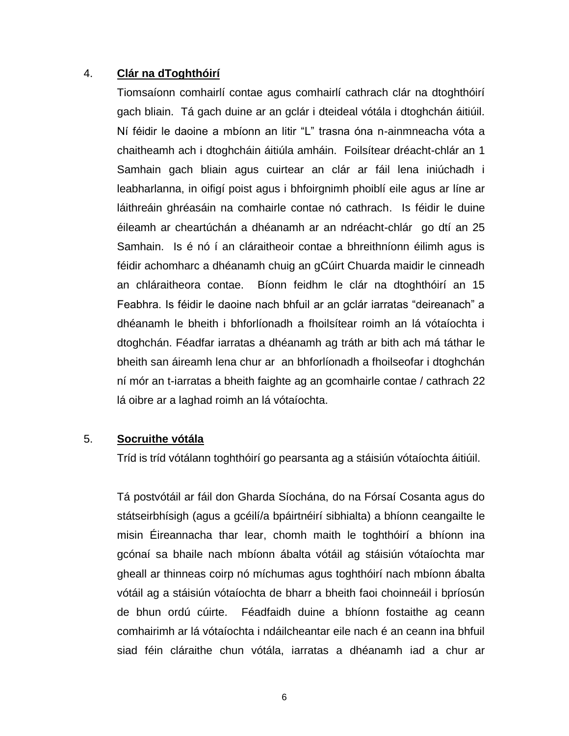### 4. **Clár na dToghthóirí**

Tiomsaíonn comhairlí contae agus comhairlí cathrach clár na dtoghthóirí gach bliain. Tá gach duine ar an gclár i dteideal vótála i dtoghchán áitiúil. Ní féidir le daoine a mbíonn an litir "L" trasna óna n-ainmneacha vóta a chaitheamh ach i dtoghcháin áitiúla amháin. Foilsítear dréacht-chlár an 1 Samhain gach bliain agus cuirtear an clár ar fáil lena iniúchadh i leabharlanna, in oifigí poist agus i bhfoirgnimh phoiblí eile agus ar líne ar láithreáin ghréasáin na comhairle contae nó cathrach. Is féidir le duine éileamh ar cheartúchán a dhéanamh ar an ndréacht-chlár go dtí an 25 Samhain. Is é nó í an cláraitheoir contae a bhreithníonn éilimh agus is féidir achomharc a dhéanamh chuig an gCúirt Chuarda maidir le cinneadh an chláraitheora contae. Bíonn feidhm le clár na dtoghthóirí an 15 Feabhra. Is féidir le daoine nach bhfuil ar an gclár iarratas "deireanach" a dhéanamh le bheith i bhforlíonadh a fhoilsítear roimh an lá vótaíochta i dtoghchán. Féadfar iarratas a dhéanamh ag tráth ar bith ach má táthar le bheith san áireamh lena chur ar an bhforlíonadh a fhoilseofar i dtoghchán ní mór an t-iarratas a bheith faighte ag an gcomhairle contae / cathrach 22 lá oibre ar a laghad roimh an lá vótaíochta.

# 5. **Socruithe vótála**

Tríd is tríd vótálann toghthóirí go pearsanta ag a stáisiún vótaíochta áitiúil.

Tá postvótáil ar fáil don Gharda Síochána, do na Fórsaí Cosanta agus do státseirbhísigh (agus a gcéilí/a bpáirtnéirí sibhialta) a bhíonn ceangailte le misin Éireannacha thar lear, chomh maith le toghthóirí a bhíonn ina gcónaí sa bhaile nach mbíonn ábalta vótáil ag stáisiún vótaíochta mar gheall ar thinneas coirp nó míchumas agus toghthóirí nach mbíonn ábalta vótáil ag a stáisiún vótaíochta de bharr a bheith faoi choinneáil i bpríosún de bhun ordú cúirte. Féadfaidh duine a bhíonn fostaithe ag ceann comhairimh ar lá vótaíochta i ndáilcheantar eile nach é an ceann ina bhfuil siad féin cláraithe chun vótála, iarratas a dhéanamh iad a chur ar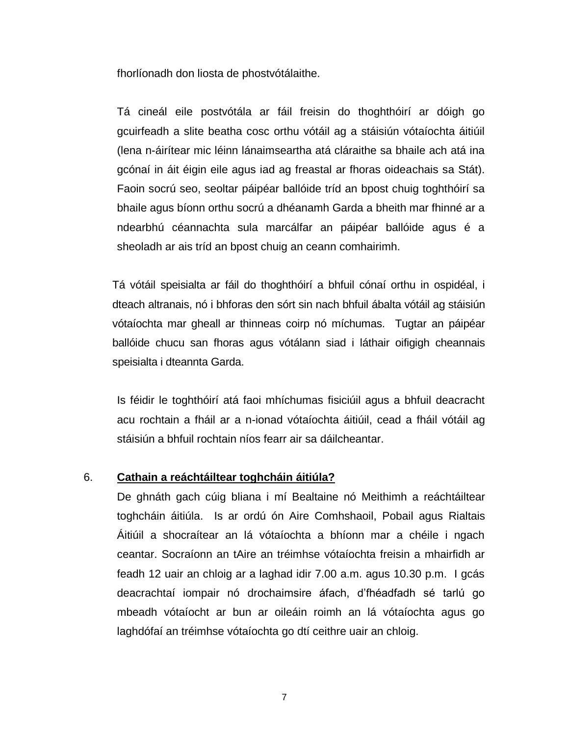fhorlíonadh don liosta de phostvótálaithe.

Tá cineál eile postvótála ar fáil freisin do thoghthóirí ar dóigh go gcuirfeadh a slite beatha cosc orthu vótáil ag a stáisiún vótaíochta áitiúil (lena n-áirítear mic léinn lánaimseartha atá cláraithe sa bhaile ach atá ina gcónaí in áit éigin eile agus iad ag freastal ar fhoras oideachais sa Stát). Faoin socrú seo, seoltar páipéar ballóide tríd an bpost chuig toghthóirí sa bhaile agus bíonn orthu socrú a dhéanamh Garda a bheith mar fhinné ar a ndearbhú céannachta sula marcálfar an páipéar ballóide agus é a sheoladh ar ais tríd an bpost chuig an ceann comhairimh.

Tá vótáil speisialta ar fáil do thoghthóirí a bhfuil cónaí orthu in ospidéal, i dteach altranais, nó i bhforas den sórt sin nach bhfuil ábalta vótáil ag stáisiún vótaíochta mar gheall ar thinneas coirp nó míchumas. Tugtar an páipéar ballóide chucu san fhoras agus vótálann siad i láthair oifigigh cheannais speisialta i dteannta Garda.

Is féidir le toghthóirí atá faoi mhíchumas fisiciúil agus a bhfuil deacracht acu rochtain a fháil ar a n-ionad vótaíochta áitiúil, cead a fháil vótáil ag stáisiún a bhfuil rochtain níos fearr air sa dáilcheantar.

### 6. **Cathain a reáchtáiltear toghcháin áitiúla?**

De ghnáth gach cúig bliana i mí Bealtaine nó Meithimh a reáchtáiltear toghcháin áitiúla. Is ar ordú ón Aire Comhshaoil, Pobail agus Rialtais Áitiúil a shocraítear an lá vótaíochta a bhíonn mar a chéile i ngach ceantar. Socraíonn an tAire an tréimhse vótaíochta freisin a mhairfidh ar feadh 12 uair an chloig ar a laghad idir 7.00 a.m. agus 10.30 p.m. I gcás deacrachtaí iompair nó drochaimsire áfach, d'fhéadfadh sé tarlú go mbeadh vótaíocht ar bun ar oileáin roimh an lá vótaíochta agus go laghdófaí an tréimhse vótaíochta go dtí ceithre uair an chloig.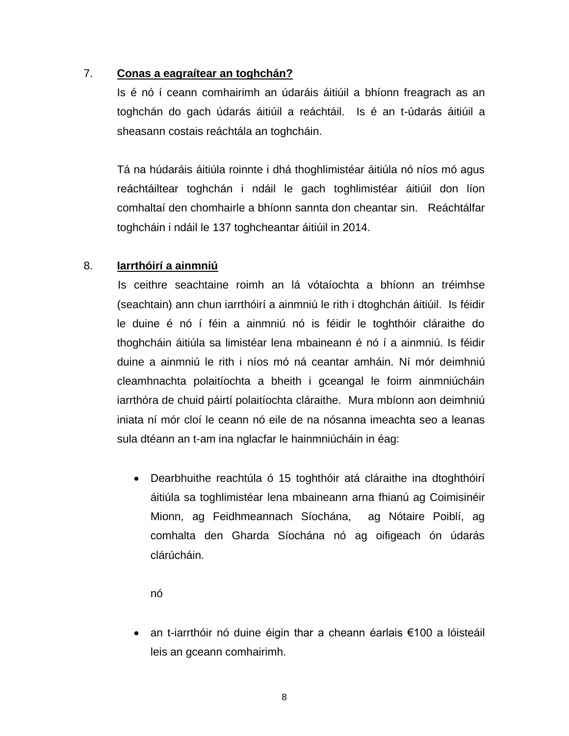### 7. **Conas a eagraítear an toghchán?**

Is é nó í ceann comhairimh an údaráis áitiúil a bhíonn freagrach as an toghchán do gach údarás áitiúil a reáchtáil. Is é an t-údarás áitiúil a sheasann costais reáchtála an toghcháin.

Tá na húdaráis áitiúla roinnte i dhá thoghlimistéar áitiúla nó níos mó agus reáchtáiltear toghchán i ndáil le gach toghlimistéar áitiúil don líon comhaltaí den chomhairle a bhíonn sannta don cheantar sin. Reáchtálfar toghcháin i ndáil le 137 toghcheantar áitiúil in 2014.

# 8. **Iarrthóirí a ainmniú**

 Is ceithre seachtaine roimh an lá vótaíochta a bhíonn an tréimhse (seachtain) ann chun iarrthóirí a ainmniú le rith i dtoghchán áitiúil. Is féidir le duine é nó í féin a ainmniú nó is féidir le toghthóir cláraithe do thoghcháin áitiúla sa limistéar lena mbaineann é nó í a ainmniú. Is féidir duine a ainmniú le rith i níos mó ná ceantar amháin. Ní mór deimhniú cleamhnachta polaitíochta a bheith i gceangal le foirm ainmniúcháin iarrthóra de chuid páirtí polaitíochta cláraithe. Mura mbíonn aon deimhniú iniata ní mór cloí le ceann nó eile de na nósanna imeachta seo a leanas sula dtéann an t-am ina nglacfar le hainmniúcháin in éag:

 Dearbhuithe reachtúla ó 15 toghthóir atá cláraithe ina dtoghthóirí áitiúla sa toghlimistéar lena mbaineann arna fhianú ag Coimisinéir Mionn, ag Feidhmeannach Síochána, ag Nótaire Poiblí, ag comhalta den Gharda Síochána nó ag oifigeach ón údarás clárúcháin.

nó

 an t-iarrthóir nó duine éigin thar a cheann éarlais €100 a lóisteáil leis an gceann comhairimh.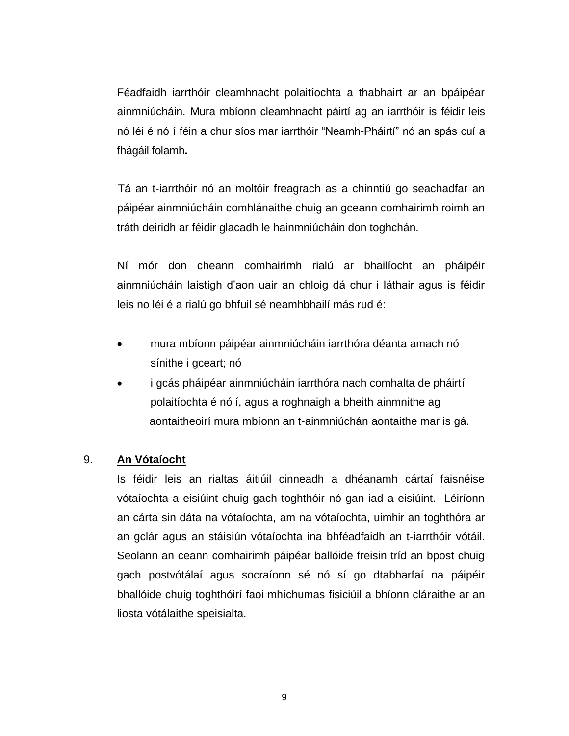Féadfaidh iarrthóir cleamhnacht polaitíochta a thabhairt ar an bpáipéar ainmniúcháin. Mura mbíonn cleamhnacht páirtí ag an iarrthóir is féidir leis nó léi é nó í féin a chur síos mar iarrthóir "Neamh-Pháirtí" nó an spás cuí a fhágáil folamh**.** 

 Tá an t-iarrthóir nó an moltóir freagrach as a chinntiú go seachadfar an páipéar ainmniúcháin comhlánaithe chuig an gceann comhairimh roimh an tráth deiridh ar féidir glacadh le hainmniúcháin don toghchán.

Ní mór don cheann comhairimh rialú ar bhailíocht an pháipéir ainmniúcháin laistigh d'aon uair an chloig dá chur i láthair agus is féidir leis no léi é a rialú go bhfuil sé neamhbhailí más rud é:

- mura mbíonn páipéar ainmniúcháin iarrthóra déanta amach nó sínithe i gceart; nó
- i gcás pháipéar ainmniúcháin iarrthóra nach comhalta de pháirtí polaitíochta é nó í, agus a roghnaigh a bheith ainmnithe ag aontaitheoirí mura mbíonn an t-ainmniúchán aontaithe mar is gá.

# 9. **An Vótaíocht**

Is féidir leis an rialtas áitiúil cinneadh a dhéanamh cártaí faisnéise vótaíochta a eisiúint chuig gach toghthóir nó gan iad a eisiúint. Léiríonn an cárta sin dáta na vótaíochta, am na vótaíochta, uimhir an toghthóra ar an gclár agus an stáisiún vótaíochta ina bhféadfaidh an t-iarrthóir vótáil. Seolann an ceann comhairimh páipéar ballóide freisin tríd an bpost chuig gach postvótálaí agus socraíonn sé nó sí go dtabharfaí na páipéir bhallóide chuig toghthóirí faoi mhíchumas fisiciúil a bhíonn cláraithe ar an liosta vótálaithe speisialta.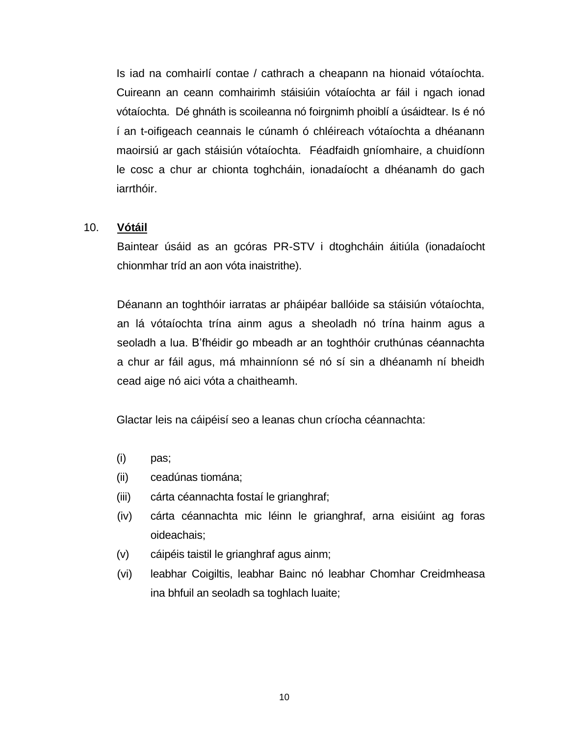Is iad na comhairlí contae / cathrach a cheapann na hionaid vótaíochta. Cuireann an ceann comhairimh stáisiúin vótaíochta ar fáil i ngach ionad vótaíochta. Dé ghnáth is scoileanna nó foirgnimh phoiblí a úsáidtear. Is é nó í an t-oifigeach ceannais le cúnamh ó chléireach vótaíochta a dhéanann maoirsiú ar gach stáisiún vótaíochta. Féadfaidh gníomhaire, a chuidíonn le cosc a chur ar chionta toghcháin, ionadaíocht a dhéanamh do gach iarrthóir.

### 10. **Vótáil**

Baintear úsáid as an gcóras PR-STV i dtoghcháin áitiúla (ionadaíocht chionmhar tríd an aon vóta inaistrithe).

Déanann an toghthóir iarratas ar pháipéar ballóide sa stáisiún vótaíochta, an lá vótaíochta trína ainm agus a sheoladh nó trína hainm agus a seoladh a lua. B'fhéidir go mbeadh ar an toghthóir cruthúnas céannachta a chur ar fáil agus, má mhainníonn sé nó sí sin a dhéanamh ní bheidh cead aige nó aici vóta a chaitheamh.

Glactar leis na cáipéisí seo a leanas chun críocha céannachta:

- (i) pas;
- (ii) ceadúnas tiomána;
- (iii) cárta céannachta fostaí le grianghraf;
- (iv) cárta céannachta mic léinn le grianghraf, arna eisiúint ag foras oideachais;
- (v) cáipéis taistil le grianghraf agus ainm;
- (vi) leabhar Coigiltis, leabhar Bainc nó leabhar Chomhar Creidmheasa ina bhfuil an seoladh sa toghlach luaite;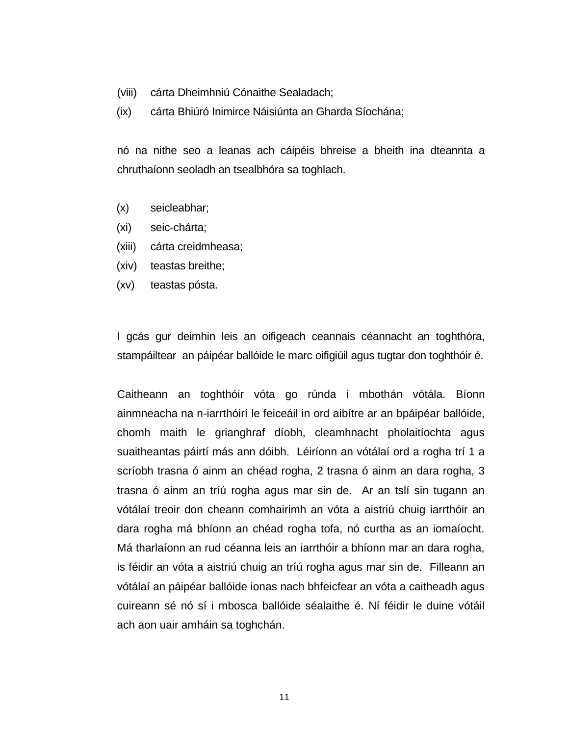- (viii) cárta Dheimhniú Cónaithe Sealadach;
- (ix) cárta Bhiúró Inimirce Náisiúnta an Gharda Síochána;

nó na nithe seo a leanas ach cáipéis bhreise a bheith ina dteannta a chruthaíonn seoladh an tsealbhóra sa toghlach.

- (x) seicleabhar;
- (xi) seic-chárta;
- (xiii) cárta creidmheasa;
- (xiv) teastas breithe;
- (xv) teastas pósta.

I gcás gur deimhin leis an oifigeach ceannais céannacht an toghthóra, stampáiltear an páipéar ballóide le marc oifigiúil agus tugtar don toghthóir é.

Caitheann an toghthóir vóta go rúnda i mbothán vótála. Bíonn ainmneacha na n-iarrthóirí le feiceáil in ord aibítre ar an bpáipéar ballóide, chomh maith le grianghraf díobh, cleamhnacht pholaitíochta agus suaitheantas páirtí más ann dóibh. Léiríonn an vótálaí ord a rogha trí 1 a scríobh trasna ó ainm an chéad rogha, 2 trasna ó ainm an dara rogha, 3 trasna ó ainm an tríú rogha agus mar sin de. Ar an tslí sin tugann an vótálaí treoir don cheann comhairimh an vóta a aistriú chuig iarrthóir an dara rogha má bhíonn an chéad rogha tofa, nó curtha as an iomaíocht. Má tharlaíonn an rud céanna leis an iarrthóir a bhíonn mar an dara rogha, is féidir an vóta a aistriú chuig an tríú rogha agus mar sin de. Filleann an vótálaí an páipéar ballóide ionas nach bhfeicfear an vóta a caitheadh agus cuireann sé nó sí i mbosca ballóide séalaithe é. Ní féidir le duine vótáil ach aon uair amháin sa toghchán.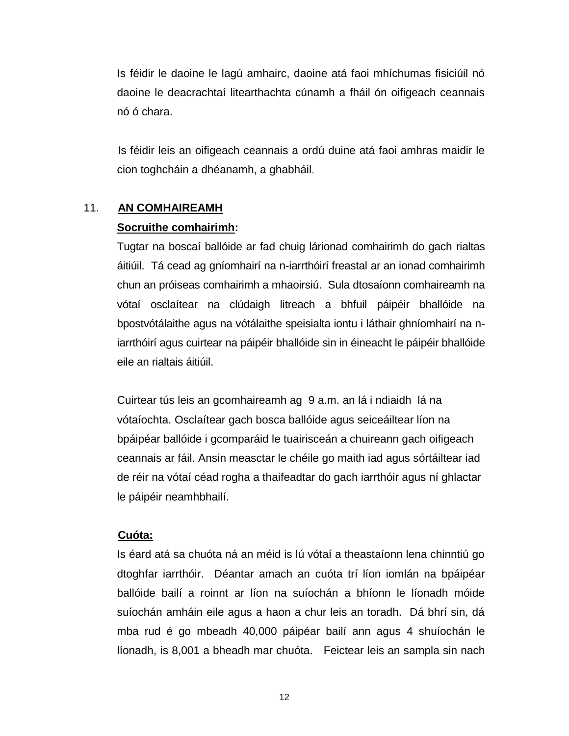Is féidir le daoine le lagú amhairc, daoine atá faoi mhíchumas fisiciúil nó daoine le deacrachtaí litearthachta cúnamh a fháil ón oifigeach ceannais nó ó chara.

 Is féidir leis an oifigeach ceannais a ordú duine atá faoi amhras maidir le cion toghcháin a dhéanamh, a ghabháil.

### 11. **AN COMHAIREAMH**

### **Socruithe comhairimh:**

Tugtar na boscaí ballóide ar fad chuig lárionad comhairimh do gach rialtas áitiúil. Tá cead ag gníomhairí na n-iarrthóirí freastal ar an ionad comhairimh chun an próiseas comhairimh a mhaoirsiú. Sula dtosaíonn comhaireamh na vótaí osclaítear na clúdaigh litreach a bhfuil páipéir bhallóide na bpostvótálaithe agus na vótálaithe speisialta iontu i láthair ghníomhairí na niarrthóirí agus cuirtear na páipéir bhallóide sin in éineacht le páipéir bhallóide eile an rialtais áitiúil.

Cuirtear tús leis an gcomhaireamh ag 9 a.m. an lá i ndiaidh lá na vótaíochta. Osclaítear gach bosca ballóide agus seiceáiltear líon na bpáipéar ballóide i gcomparáid le tuairisceán a chuireann gach oifigeach ceannais ar fáil. Ansin measctar le chéile go maith iad agus sórtáiltear iad de réir na vótaí céad rogha a thaifeadtar do gach iarrthóir agus ní ghlactar le páipéir neamhbhailí.

### **Cuóta:**

Is éard atá sa chuóta ná an méid is lú vótaí a theastaíonn lena chinntiú go dtoghfar iarrthóir. Déantar amach an cuóta trí líon iomlán na bpáipéar ballóide bailí a roinnt ar líon na suíochán a bhíonn le líonadh móide suíochán amháin eile agus a haon a chur leis an toradh. Dá bhrí sin, dá mba rud é go mbeadh 40,000 páipéar bailí ann agus 4 shuíochán le líonadh, is 8,001 a bheadh mar chuóta. Feictear leis an sampla sin nach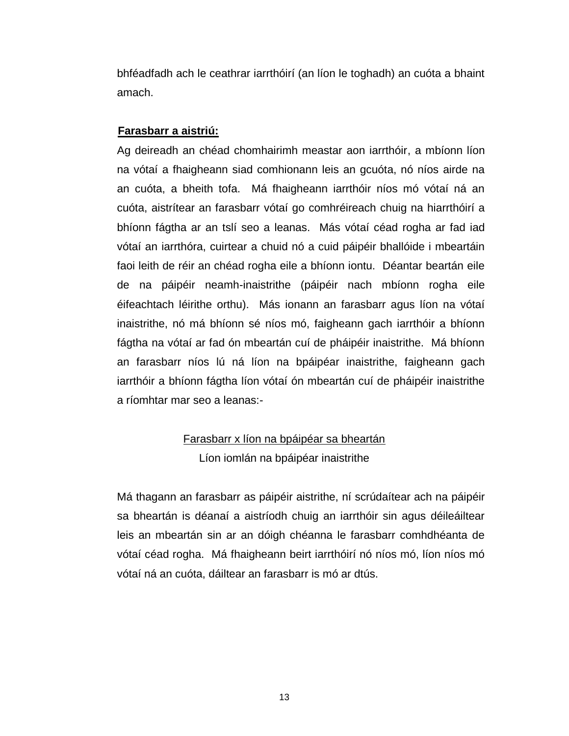bhféadfadh ach le ceathrar iarrthóirí (an líon le toghadh) an cuóta a bhaint amach.

### **Farasbarr a aistriú:**

Ag deireadh an chéad chomhairimh meastar aon iarrthóir, a mbíonn líon na vótaí a fhaigheann siad comhionann leis an gcuóta, nó níos airde na an cuóta, a bheith tofa. Má fhaigheann iarrthóir níos mó vótaí ná an cuóta, aistrítear an farasbarr vótaí go comhréireach chuig na hiarrthóirí a bhíonn fágtha ar an tslí seo a leanas. Más vótaí céad rogha ar fad iad vótaí an iarrthóra, cuirtear a chuid nó a cuid páipéir bhallóide i mbeartáin faoi leith de réir an chéad rogha eile a bhíonn iontu. Déantar beartán eile de na páipéir neamh-inaistrithe (páipéir nach mbíonn rogha eile éifeachtach léirithe orthu). Más ionann an farasbarr agus líon na vótaí inaistrithe, nó má bhíonn sé níos mó, faigheann gach iarrthóir a bhíonn fágtha na vótaí ar fad ón mbeartán cuí de pháipéir inaistrithe. Má bhíonn an farasbarr níos lú ná líon na bpáipéar inaistrithe, faigheann gach iarrthóir a bhíonn fágtha líon vótaí ón mbeartán cuí de pháipéir inaistrithe a ríomhtar mar seo a leanas:-

# Farasbarr x líon na bpáipéar sa bheartán Líon iomlán na bpáipéar inaistrithe

Má thagann an farasbarr as páipéir aistrithe, ní scrúdaítear ach na páipéir sa bheartán is déanaí a aistríodh chuig an iarrthóir sin agus déileáiltear leis an mbeartán sin ar an dóigh chéanna le farasbarr comhdhéanta de vótaí céad rogha. Má fhaigheann beirt iarrthóirí nó níos mó, líon níos mó vótaí ná an cuóta, dáiltear an farasbarr is mó ar dtús.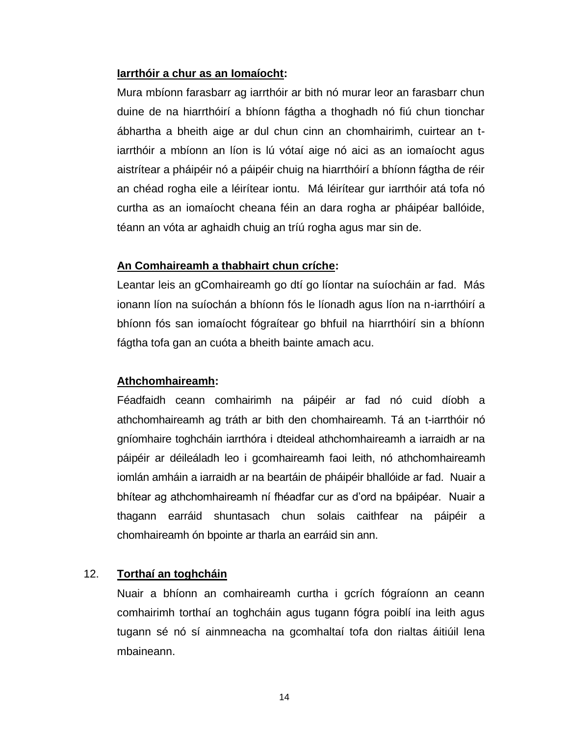### **Iarrthóir a chur as an Iomaíocht:**

Mura mbíonn farasbarr ag iarrthóir ar bith nó murar leor an farasbarr chun duine de na hiarrthóirí a bhíonn fágtha a thoghadh nó fiú chun tionchar ábhartha a bheith aige ar dul chun cinn an chomhairimh, cuirtear an tiarrthóir a mbíonn an líon is lú vótaí aige nó aici as an iomaíocht agus aistrítear a pháipéir nó a páipéir chuig na hiarrthóirí a bhíonn fágtha de réir an chéad rogha eile a léirítear iontu. Má léirítear gur iarrthóir atá tofa nó curtha as an iomaíocht cheana féin an dara rogha ar pháipéar ballóide, téann an vóta ar aghaidh chuig an tríú rogha agus mar sin de.

### **An Comhaireamh a thabhairt chun críche:**

Leantar leis an gComhaireamh go dtí go líontar na suíocháin ar fad. Más ionann líon na suíochán a bhíonn fós le líonadh agus líon na n-iarrthóirí a bhíonn fós san iomaíocht fógraítear go bhfuil na hiarrthóirí sin a bhíonn fágtha tofa gan an cuóta a bheith bainte amach acu.

# **Athchomhaireamh:**

Féadfaidh ceann comhairimh na páipéir ar fad nó cuid díobh a athchomhaireamh ag tráth ar bith den chomhaireamh. Tá an t-iarrthóir nó gníomhaire toghcháin iarrthóra i dteideal athchomhaireamh a iarraidh ar na páipéir ar déileáladh leo i gcomhaireamh faoi leith, nó athchomhaireamh iomlán amháin a iarraidh ar na beartáin de pháipéir bhallóide ar fad. Nuair a bhítear ag athchomhaireamh ní fhéadfar cur as d'ord na bpáipéar. Nuair a thagann earráid shuntasach chun solais caithfear na páipéir a chomhaireamh ón bpointe ar tharla an earráid sin ann.

# 12. **Torthaí an toghcháin**

Nuair a bhíonn an comhaireamh curtha i gcrích fógraíonn an ceann comhairimh torthaí an toghcháin agus tugann fógra poiblí ina leith agus tugann sé nó sí ainmneacha na gcomhaltaí tofa don rialtas áitiúil lena mbaineann.

14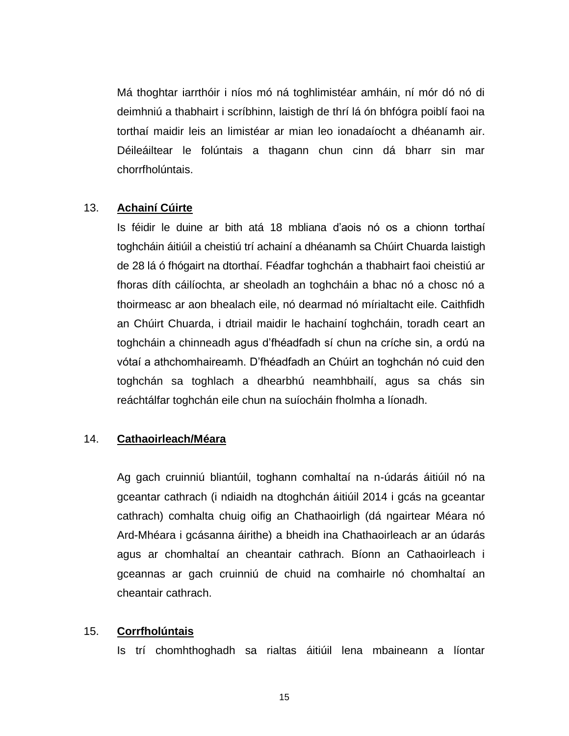Má thoghtar iarrthóir i níos mó ná toghlimistéar amháin, ní mór dó nó di deimhniú a thabhairt i scríbhinn, laistigh de thrí lá ón bhfógra poiblí faoi na torthaí maidir leis an limistéar ar mian leo ionadaíocht a dhéanamh air. Déileáiltear le folúntais a thagann chun cinn dá bharr sin mar chorrfholúntais.

#### 13. **Achainí Cúirte**

Is féidir le duine ar bith atá 18 mbliana d'aois nó os a chionn torthaí toghcháin áitiúil a cheistiú trí achainí a dhéanamh sa Chúirt Chuarda laistigh de 28 lá ó fhógairt na dtorthaí. Féadfar toghchán a thabhairt faoi cheistiú ar fhoras díth cáilíochta, ar sheoladh an toghcháin a bhac nó a chosc nó a thoirmeasc ar aon bhealach eile, nó dearmad nó mírialtacht eile. Caithfidh an Chúirt Chuarda, i dtriail maidir le hachainí toghcháin, toradh ceart an toghcháin a chinneadh agus d'fhéadfadh sí chun na críche sin, a ordú na vótaí a athchomhaireamh. D'fhéadfadh an Chúirt an toghchán nó cuid den toghchán sa toghlach a dhearbhú neamhbhailí, agus sa chás sin reáchtálfar toghchán eile chun na suíocháin fholmha a líonadh.

### 14. **Cathaoirleach/Méara**

Ag gach cruinniú bliantúil, toghann comhaltaí na n-údarás áitiúil nó na gceantar cathrach (i ndiaidh na dtoghchán áitiúil 2014 i gcás na gceantar cathrach) comhalta chuig oifig an Chathaoirligh (dá ngairtear Méara nó Ard-Mhéara i gcásanna áirithe) a bheidh ina Chathaoirleach ar an údarás agus ar chomhaltaí an cheantair cathrach. Bíonn an Cathaoirleach i gceannas ar gach cruinniú de chuid na comhairle nó chomhaltaí an cheantair cathrach.

#### 15. **Corrfholúntais**

Is trí chomhthoghadh sa rialtas áitiúil lena mbaineann a líontar

 $15$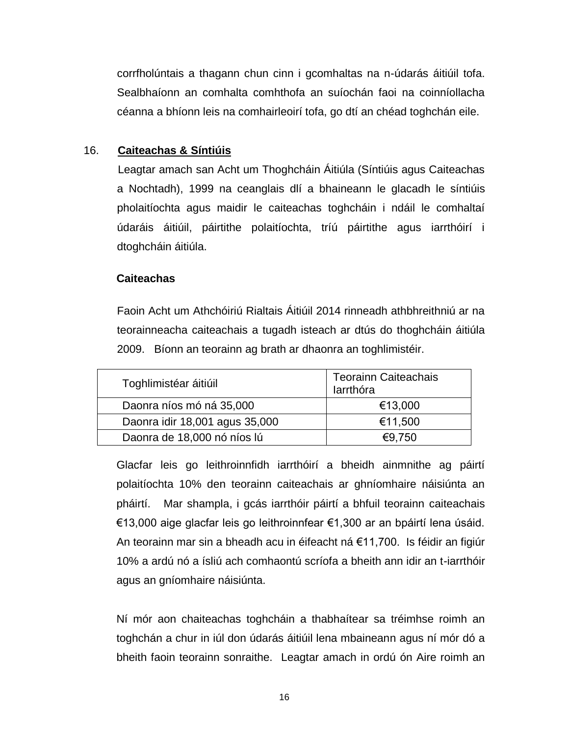corrfholúntais a thagann chun cinn i gcomhaltas na n-údarás áitiúil tofa. Sealbhaíonn an comhalta comhthofa an suíochán faoi na coinníollacha céanna a bhíonn leis na comhairleoirí tofa, go dtí an chéad toghchán eile.

### 16. **Caiteachas & Síntiúis**

 Leagtar amach san Acht um Thoghcháin Áitiúla (Síntiúis agus Caiteachas a Nochtadh), 1999 na ceanglais dlí a bhaineann le glacadh le síntiúis pholaitíochta agus maidir le caiteachas toghcháin i ndáil le comhaltaí údaráis áitiúil, páirtithe polaitíochta, tríú páirtithe agus iarrthóirí i dtoghcháin áitiúla.

### **Caiteachas**

Faoin Acht um Athchóiriú Rialtais Áitiúil 2014 rinneadh athbhreithniú ar na teorainneacha caiteachais a tugadh isteach ar dtús do thoghcháin áitiúla 2009. Bíonn an teorainn ag brath ar dhaonra an toghlimistéir.

| Toghlimistéar áitiúil          | <b>Teorainn Caiteachais</b><br>larrthóra |  |
|--------------------------------|------------------------------------------|--|
| Daonra níos mó ná 35,000       | €13,000                                  |  |
| Daonra idir 18,001 agus 35,000 | €11,500                                  |  |
| Daonra de 18,000 nó níos lú    | €9.750                                   |  |

Glacfar leis go leithroinnfidh iarrthóirí a bheidh ainmnithe ag páirtí polaitíochta 10% den teorainn caiteachais ar ghníomhaire náisiúnta an pháirtí. Mar shampla, i gcás iarrthóir páirtí a bhfuil teorainn caiteachais €13,000 aige glacfar leis go leithroinnfear €1,300 ar an bpáirtí lena úsáid. An teorainn mar sin a bheadh acu in éifeacht ná €11,700. Is féidir an figiúr 10% a ardú nó a ísliú ach comhaontú scríofa a bheith ann idir an t-iarrthóir agus an gníomhaire náisiúnta.

Ní mór aon chaiteachas toghcháin a thabhaítear sa tréimhse roimh an toghchán a chur in iúl don údarás áitiúil lena mbaineann agus ní mór dó a bheith faoin teorainn sonraithe. Leagtar amach in ordú ón Aire roimh an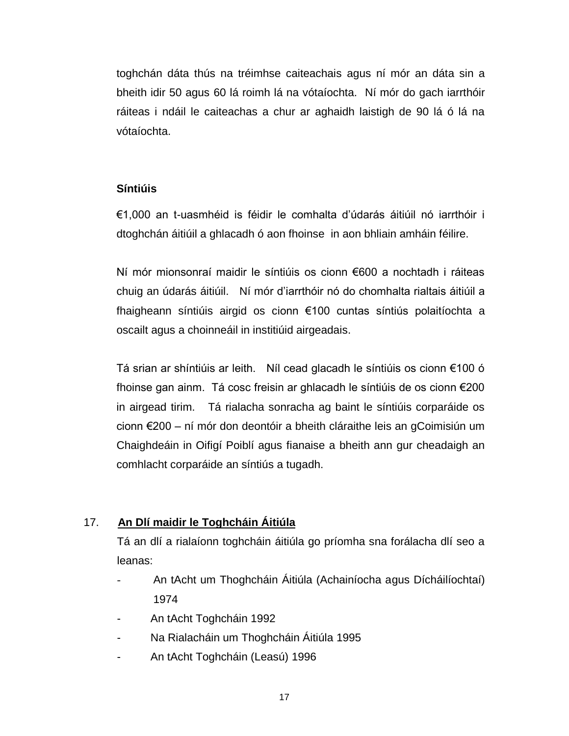toghchán dáta thús na tréimhse caiteachais agus ní mór an dáta sin a bheith idir 50 agus 60 lá roimh lá na vótaíochta. Ní mór do gach iarrthóir ráiteas i ndáil le caiteachas a chur ar aghaidh laistigh de 90 lá ó lá na vótaíochta.

# **Síntiúis**

€1,000 an t-uasmhéid is féidir le comhalta d'údarás áitiúil nó iarrthóir i dtoghchán áitiúil a ghlacadh ó aon fhoinse in aon bhliain amháin féilire.

Ní mór mionsonraí maidir le síntiúis os cionn €600 a nochtadh i ráiteas chuig an údarás áitiúil. Ní mór d'iarrthóir nó do chomhalta rialtais áitiúil a fhaigheann síntiúis airgid os cionn €100 cuntas síntiús polaitíochta a oscailt agus a choinneáil in institiúid airgeadais.

Tá srian ar shíntiúis ar leith. Níl cead glacadh le síntiúis os cionn €100 ó fhoinse gan ainm. Tá cosc freisin ar ghlacadh le síntiúis de os cionn €200 in airgead tirim. Tá rialacha sonracha ag baint le síntiúis corparáide os cionn €200 – ní mór don deontóir a bheith cláraithe leis an gCoimisiún um Chaighdeáin in Oifigí Poiblí agus fianaise a bheith ann gur cheadaigh an comhlacht corparáide an síntiús a tugadh.

# 17. **An Dlí maidir le Toghcháin Áitiúla**

Tá an dlí a rialaíonn toghcháin áitiúla go príomha sna forálacha dlí seo a leanas:

- An tAcht um Thoghcháin Áitiúla (Achainíocha agus Dícháilíochtaí) 1974
- An tAcht Toghcháin 1992
- Na Rialacháin um Thoghcháin Áitiúla 1995
- An tAcht Toghcháin (Leasú) 1996